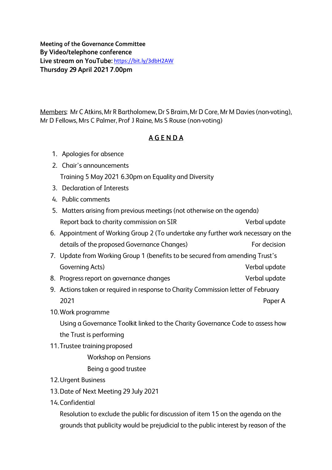https://bit.ly/3dbH2AW **Meeting of the Governance Committee By Video/telephone conference**  By Video/telephone conference<br>Live stream on YouTube: <u>https://bit.ly/3dbH2AW</u><br>Thursday 29 April 2021 7.00pm

Members: Mr C Atkins, Mr R Bartholomew, Dr S Braim, Mr D Core, Mr M Davies (non-voting), Mr D Fellows, Mrs C Palmer, Prof J Raine, Ms S Rouse (non-voting)

## **AGENDA**

- 1. Apologies for absence
- 2. Chair's announcements Training 5 May 2021 6.30pm on Equality and Diversity
- 3. Declaration of Interests
- Li. Public comments
- 5. Matters arising from previous meetings (not otherwise on the agenda) Report back to charity commission on SIR Verbal update
- 6. Appointment of Working Group 2 (To undertake any further work necessary on the details of the proposed Governance Changes) For decision
- 7. Update from Working Group 1 (benefits to be secured from amending Trust's Governing Acts) and the contraction of the contraction of the Verbal update
- 8. Progress report on governance changes values of the Verbal update
- 9. Actions taken or required in response to Charity Commission letter of February 2021 Paper A
- 10. Work programme

Using a Governance Toolkit linked to the Charity Governance Code to assess how the Trust is performing

11. Trustee training proposed

Workshop on Pensions

Being a good trustee

- 12. Urgent Business
- 13. Date of Next Meeting 29 July 2021
- 14. Confidential

Resolution to exclude the public for discussion of item 15 on the agenda on the grounds that publicity would be prejudicial to the public interest by reason of the